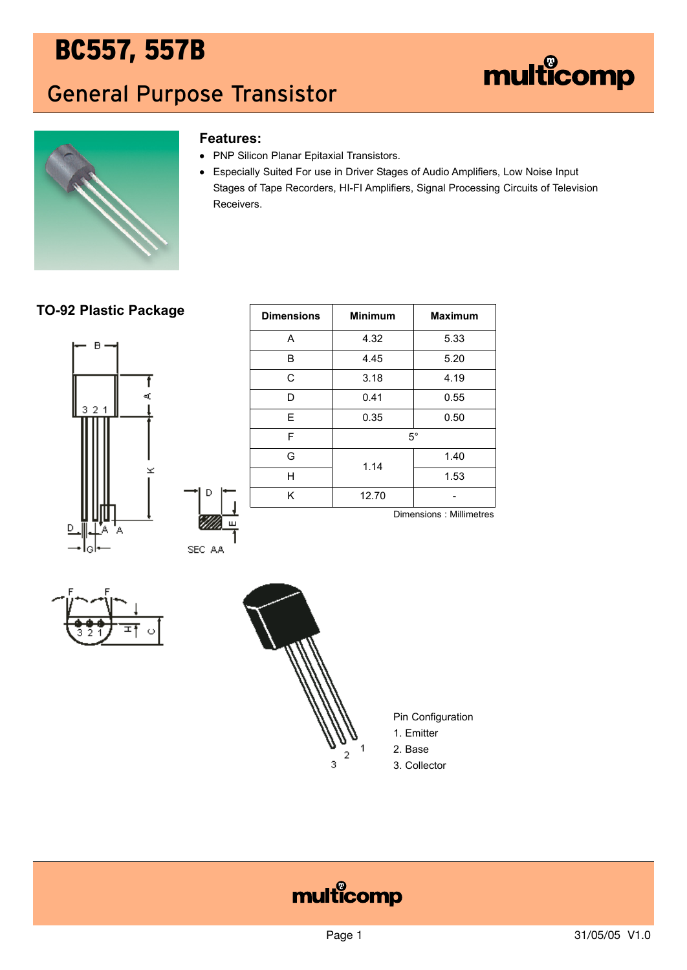### General Purpose Transistor





#### **Features:**

- PNP Silicon Planar Epitaxial Transistors.
- Especially Suited For use in Driver Stages of Audio Amplifiers, Low Noise Input Stages of Tape Recorders, HI-FI Amplifiers, Signal Processing Circuits of Television Receivers.

#### **TO-92 Plastic Package**



| <b>Dimensions</b> | <b>Minimum</b> | <b>Maximum</b>          |  |
|-------------------|----------------|-------------------------|--|
| A                 | 4.32           | 5.33                    |  |
| В                 | 4.45           | 5.20                    |  |
| C                 | 3.18           | 4.19                    |  |
| D                 | 0.41           | 0.55                    |  |
| E                 | 0.35           | 0.50                    |  |
| F                 | $5^{\circ}$    |                         |  |
| G                 | 1.14           | 1.40                    |  |
| Η                 |                | 1.53                    |  |
| Κ                 | 12.70          |                         |  |
|                   |                | Dimensions: Millimetres |  |

SEC AA





Pin Configuration

1. Emitter

2. Base

3. Collector

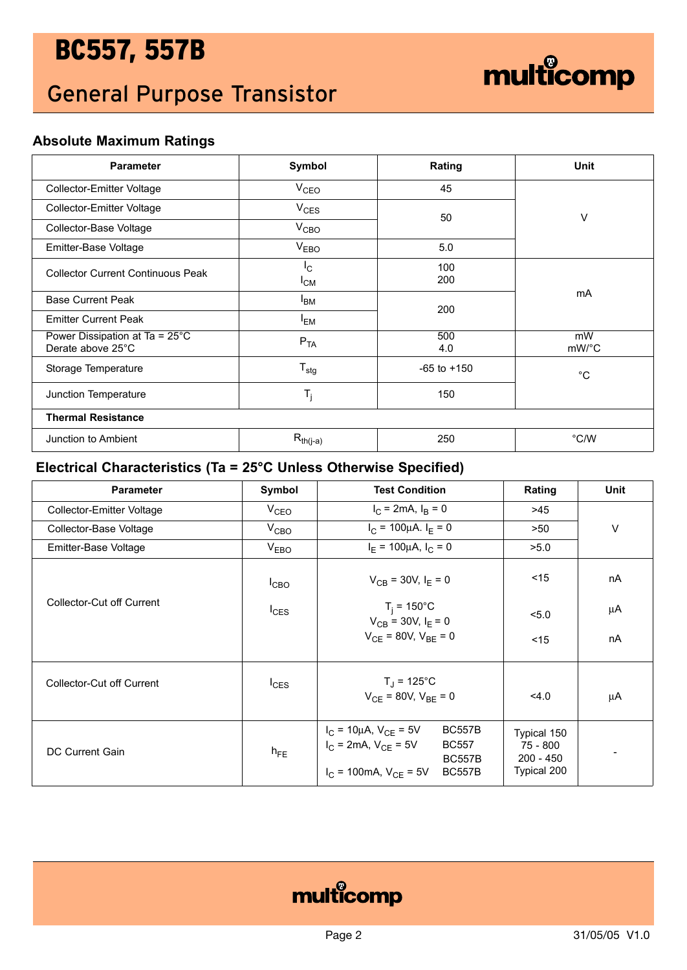## General Purpose Transistor



### **Absolute Maximum Ratings**

| <b>Parameter</b>                                              | Symbol                  | Rating          | Unit        |  |
|---------------------------------------------------------------|-------------------------|-----------------|-------------|--|
| <b>Collector-Emitter Voltage</b>                              | V <sub>CEO</sub>        | 45              |             |  |
| Collector-Emitter Voltage                                     | $V_{CES}$               | 50              | V           |  |
| Collector-Base Voltage                                        | V <sub>CBO</sub>        |                 |             |  |
| Emitter-Base Voltage                                          | V <sub>EBO</sub>        | 5.0             |             |  |
| <b>Collector Current Continuous Peak</b>                      | $I_{\rm C}$<br>$I_{CM}$ | 100<br>200      |             |  |
| <b>Base Current Peak</b>                                      | $I_{BM}$                | 200             | mA          |  |
| <b>Emitter Current Peak</b>                                   | $I_{EM}$                |                 |             |  |
| Power Dissipation at Ta = $25^{\circ}$ C<br>Derate above 25°C | $P_{TA}$                | 500<br>4.0      | mW<br>mW/°C |  |
| Storage Temperature                                           | $T_{\text{stg}}$        | $-65$ to $+150$ | $^{\circ}C$ |  |
| Junction Temperature                                          | $T_{j}$                 | 150             |             |  |
| <b>Thermal Resistance</b>                                     |                         |                 |             |  |
| Junction to Ambient                                           | $R_{th(j-a)}$           | 250             | °C/W        |  |

#### **Electrical Characteristics (Ta = 25°C Unless Otherwise Specified)**

| <b>Parameter</b>          | Symbol           | <b>Test Condition</b>                                                                                                                                              | Rating                                                | <b>Unit</b> |
|---------------------------|------------------|--------------------------------------------------------------------------------------------------------------------------------------------------------------------|-------------------------------------------------------|-------------|
| Collector-Emitter Voltage | $V_{CEO}$        | $I_C = 2mA$ , $I_B = 0$                                                                                                                                            | >45                                                   |             |
| Collector-Base Voltage    | $V_{CBO}$        | $I_C = 100 \mu A$ . $I_F = 0$                                                                                                                                      | >50                                                   | $\vee$      |
| Emitter-Base Voltage      | V <sub>EBO</sub> | $I_F = 100 \mu A$ , $I_C = 0$                                                                                                                                      | >5.0                                                  |             |
| Collector-Cut off Current | $I_{CBO}$        | $V_{CB}$ = 30V, $I_F$ = 0                                                                                                                                          | $<$ 15                                                | nA          |
|                           | $I_{CES}$        | $T_i = 150^{\circ}C$<br>$V_{CB}$ = 30V, $I_E$ = 0                                                                                                                  | < 5.0                                                 | μA          |
|                           |                  | $V_{CF}$ = 80V, $V_{BF}$ = 0                                                                                                                                       | $<$ 15                                                | nA          |
| Collector-Cut off Current | $I_{CES}$        | $T_J = 125^{\circ}C$<br>$V_{CF}$ = 80V, $V_{BE}$ = 0                                                                                                               | 4.0                                                   | μA          |
| DC Current Gain           | $h_{FE}$         | <b>BC557B</b><br>$I_C = 10 \mu A$ , $V_{CE} = 5V$<br>$I_C = 2mA$ , $V_{CF} = 5V$<br><b>BC557</b><br><b>BC557B</b><br>$I_C$ = 100mA, $V_{CF}$ = 5V<br><b>BC557B</b> | Typical 150<br>75 - 800<br>$200 - 450$<br>Typical 200 |             |

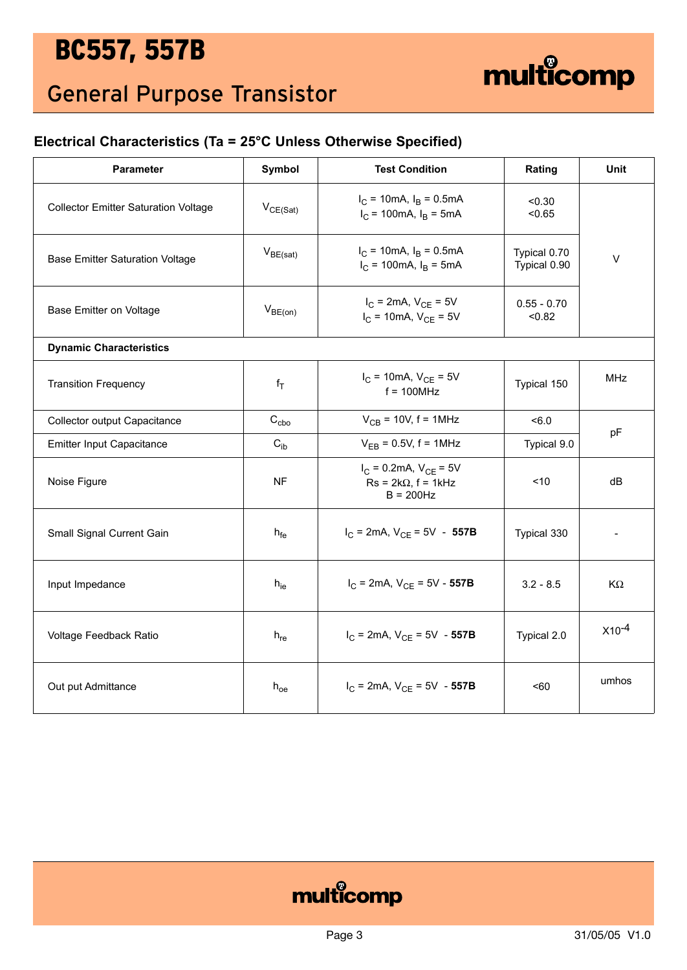### General Purpose Transistor

#### **Electrical Characteristics (Ta = 25°C Unless Otherwise Specified)**

| <b>Parameter</b>                            | Symbol             | <b>Test Condition</b>                                                                 | Rating                       | Unit       |
|---------------------------------------------|--------------------|---------------------------------------------------------------------------------------|------------------------------|------------|
| <b>Collector Emitter Saturation Voltage</b> | $V_{CE(Sat)}$      | $I_C = 10 \text{mA}, I_B = 0.5 \text{mA}$<br>$I_C$ = 100mA, $I_B$ = 5mA               | < 0.30<br>< 0.65             |            |
| <b>Base Emitter Saturation Voltage</b>      | $V_{BE(sat)}$      | $I_C = 10 \text{mA}, I_B = 0.5 \text{mA}$<br>$I_C = 100 \text{mA}, I_B = 5 \text{mA}$ | Typical 0.70<br>Typical 0.90 | $\vee$     |
| Base Emitter on Voltage                     | $V_{BE(on)}$       | $I_{C}$ = 2mA, $V_{CF}$ = 5V<br>$I_C = 10mA$ , $V_{CE} = 5V$                          | $0.55 - 0.70$<br>< 0.82      |            |
| <b>Dynamic Characteristics</b>              |                    |                                                                                       |                              |            |
| <b>Transition Frequency</b>                 | $f_T$              | $I_C = 10 \text{mA}, V_{CE} = 5V$<br>$f = 100$ MHz                                    | Typical 150                  | <b>MHz</b> |
| Collector output Capacitance                | $C_{cbo}$          | $V_{CB}$ = 10V, f = 1MHz                                                              | < 6.0                        |            |
| <b>Emitter Input Capacitance</b>            | $C_{ib}$           | $V_{EB} = 0.5V$ , f = 1MHz                                                            | Typical 9.0                  | pF         |
| Noise Figure                                | <b>NF</b>          | $I_C = 0.2$ mA, $V_{CE} = 5V$<br>$Rs = 2k\Omega$ , f = 1kHz<br>$B = 200$ Hz           | < 10                         | dB         |
| Small Signal Current Gain                   | $h_{fe}$           | $I_C$ = 2mA, $V_{CE}$ = 5V - 557B                                                     | Typical 330                  |            |
| Input Impedance                             | $h_{ie}$           | $I_C$ = 2mA, $V_{CE}$ = 5V - 557B                                                     | $3.2 - 8.5$                  | KΩ         |
| Voltage Feedback Ratio                      | $h_{\text{re}}$    | $I_C$ = 2mA, $V_{CE}$ = 5V - 557B                                                     | Typical 2.0                  | $X10^{-4}$ |
| Out put Admittance                          | ${\sf h}_{\sf oe}$ | $I_C$ = 2mA, $V_{CF}$ = 5V - 557B                                                     | $50 - 60$                    | umhos      |



multicomp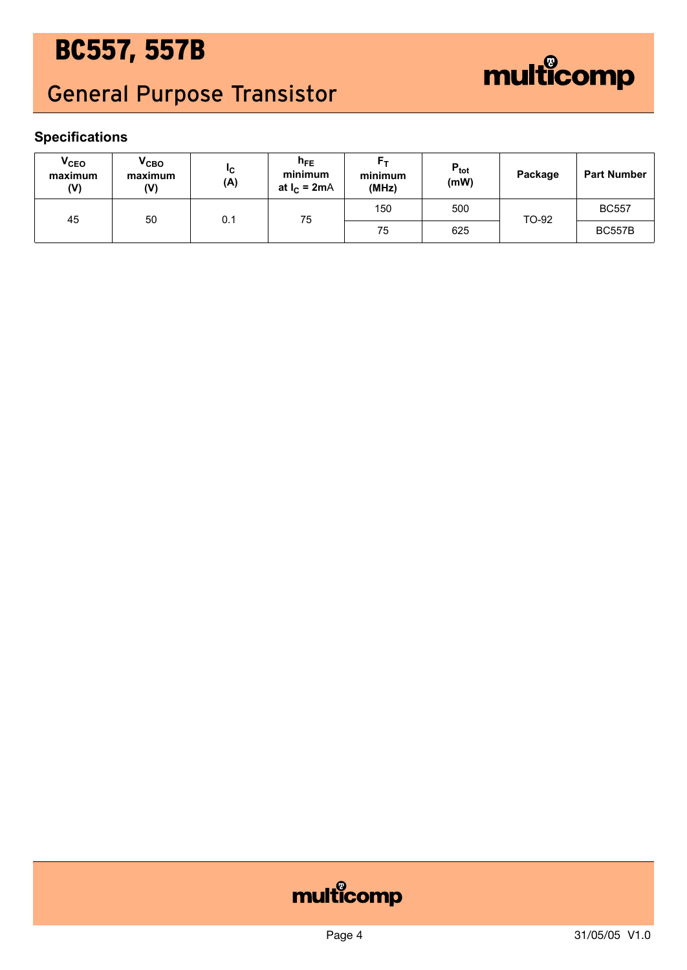## General Purpose Transistor



### **Specifications**

| <b>V<sub>CEO</sub></b><br>maximum<br>(V) | $V_{CBO}$<br>maximum<br>(V) | "C<br>(A) | $h_{FE}$<br>minimum<br>at $I_C = 2mA$ | F–<br>minimum<br>(MHz) | $P_{\text{tot}}$<br>(mW) | Package | <b>Part Number</b> |
|------------------------------------------|-----------------------------|-----------|---------------------------------------|------------------------|--------------------------|---------|--------------------|
| 45                                       | 50                          | 0.1       | 75                                    | 150                    | 500                      | TO-92   | <b>BC557</b>       |
|                                          |                             | 75        | 625                                   |                        | <b>BC557B</b>            |         |                    |